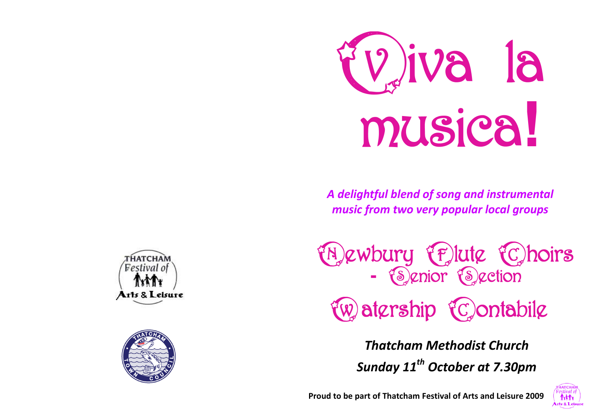

*A delightful blend of song and instrumental music from two very popular local groups*

**EN ewbury Elute Choirs**<br>- Senior Section

tw atership tc ontabile

*Thatcham Methodist Church Sunday 11th October at 7.30pm*



THATCHAN Festival o Arts & Leisure



**Proud to be part of Thatcham Festival of Arts and Leisure 2009**